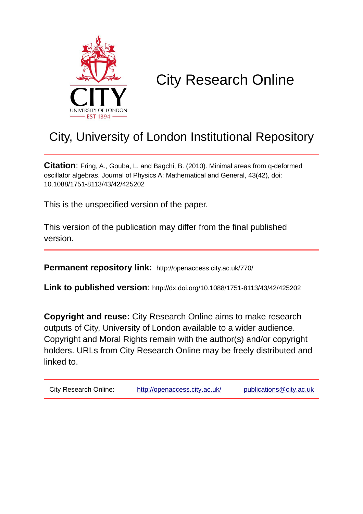

# City Research Online

# City, University of London Institutional Repository

**Citation**: Fring, A., Gouba, L. and Bagchi, B. (2010). Minimal areas from q-deformed oscillator algebras. Journal of Physics A: Mathematical and General, 43(42), doi: 10.1088/1751-8113/43/42/425202

This is the unspecified version of the paper.

This version of the publication may differ from the final published version.

**Permanent repository link:** http://openaccess.city.ac.uk/770/

**Link to published version**: http://dx.doi.org/10.1088/1751-8113/43/42/425202

**Copyright and reuse:** City Research Online aims to make research outputs of City, University of London available to a wider audience. Copyright and Moral Rights remain with the author(s) and/or copyright holders. URLs from City Research Online may be freely distributed and linked to.

| City Research Online: | http://openaccess.city.ac.uk/ | publications@city.ac.uk |
|-----------------------|-------------------------------|-------------------------|
|                       |                               |                         |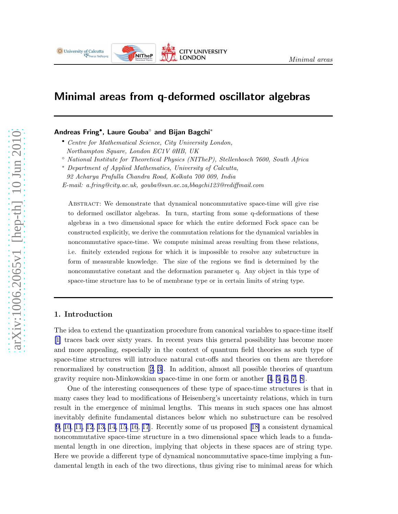

# Minimal areas from q-deformed oscillator algebras

### Andreas Fring• , Laure Gouba◦ and Bijan Bagchi<sup>∗</sup>

- Centre for Mathematical Science, City University London, Northampton Square, London EC1V 0HB, UK
- National Institute for Theoretical Physics (NITheP), Stellenbosch 7600, South Africa
- <sup>∗</sup> Department of Applied Mathematics, University of Calcutta,
- 92 Acharya Prafulla Chandra Road, Kolkata 700 009, India

E-mail: a.fring@city.ac.uk, gouba@sun.ac.za,bbagchi123@rediffmail.com

Abstract: We demonstrate that dynamical noncommutative space-time will give rise to deformed oscillator algebras. In turn, starting from some q-deformations of these algebras in a two dimensional space for which the entire deformed Fock space can be constructed explicitly, we derive the commutation relations for the dynamical variables in noncommutative space-time. We compute minimal areas resulting from these relations, i.e. finitely extended regions for which it is impossible to resolve any substructure in form of measurable knowledge. The size of the regions we find is determined by the noncommutative constant and the deformation parameter q. Any object in this type of space-time structure has to be of membrane type or in certain limits of string type.

## 1. Introduction

The idea to extend the quantization procedure from canonical variables to space-time itself [\[1\]](#page-13-0) traces back over sixty years. In recent years this general possibility has become more and more appealing, especially in the context of quantum field theories as such type of space-time structures will introduce natural cut-offs and theories on them are therefore renormalized by construction[[2](#page-13-0), [3\]](#page-13-0). In addition, almost all possible theories of quantum gravity require non-Minkowskian space-time in one form or another [\[4](#page-13-0), [5, 6, 7, 8\]](#page-13-0).

One of the interesting consequences of these type of space-time structures is that in many cases they lead to modifications of Heisenberg's uncertainty relations, which in turn result in the emergence of minimal lengths. This means in such spaces one has almost inevitably definite fundamental distances below which no substructure can be resolved  $[9, 10, 11, 12, 13, 14, 15, 16, 17]$  $[9, 10, 11, 12, 13, 14, 15, 16, 17]$  $[9, 10, 11, 12, 13, 14, 15, 16, 17]$  $[9, 10, 11, 12, 13, 14, 15, 16, 17]$  $[9, 10, 11, 12, 13, 14, 15, 16, 17]$  $[9, 10, 11, 12, 13, 14, 15, 16, 17]$  $[9, 10, 11, 12, 13, 14, 15, 16, 17]$  $[9, 10, 11, 12, 13, 14, 15, 16, 17]$  $[9, 10, 11, 12, 13, 14, 15, 16, 17]$  $[9, 10, 11, 12, 13, 14, 15, 16, 17]$  $[9, 10, 11, 12, 13, 14, 15, 16, 17]$  $[9, 10, 11, 12, 13, 14, 15, 16, 17]$ .Recently some of us proposed  $[18]$  $[18]$  a consistent dynamical noncommutative space-time structure in a two dimensional space which leads to a fundamental length in one direction, implying that objects in these spaces are of string type. Here we provide a different type of dynamical noncommutative space-time implying a fundamental length in each of the two directions, thus giving rise to minimal areas for which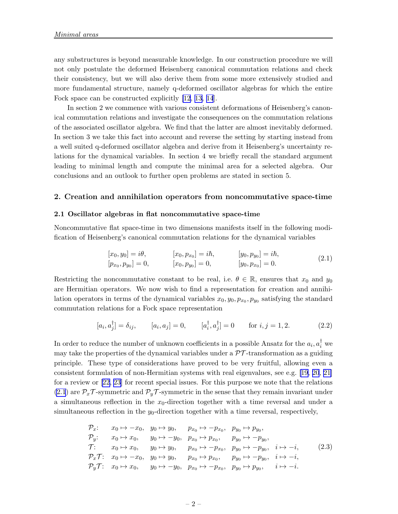<span id="page-2-0"></span>any substructures is beyond measurable knowledge. In our construction procedure we will not only postulate the deformed Heisenberg canonical commutation relations and check their consistency, but we will also derive them from some more extensively studied and more fundamental structure, namely q-deformed oscillator algebras for which the entire Fock space can be constructed explicitly [\[12](#page-13-0), [13, 14](#page-13-0)].

In section 2 we commence with various consistent deformations of Heisenberg's canonical commutation relations and investigate the consequences on the commutation relations of the associated oscillator algebra. We find that the latter are almost inevitably deformed. In section 3 we take this fact into account and reverse the setting by starting instead from a well suited q-deformed oscillator algebra and derive from it Heisenberg's uncertainty relations for the dynamical variables. In section 4 we briefly recall the standard argument leading to minimal length and compute the minimal area for a selected algebra. Our conclusions and an outlook to further open problems are stated in section 5.

#### 2. Creation and annihilation operators from noncommutative space-time

#### 2.1 Oscillator algebras in flat noncommutative space-time

Noncommutative flat space-time in two dimensions manifests itself in the following modification of Heisenberg's canonical commutation relations for the dynamical variables

$$
[x_0, y_0] = i\theta, \t [x_0, p_{x_0}] = i\hbar, \t [y_0, p_{y_0}] = i\hbar, [p_{x_0}, p_{y_0}] = 0, \t [x_0, p_{y_0}] = 0, \t [y_0, p_{x_0}] = 0.
$$
 (2.1)

Restricting the noncommutative constant to be real, i.e.  $\theta \in \mathbb{R}$ , ensures that  $x_0$  and  $y_0$ are Hermitian operators. We now wish to find a representation for creation and annihilation operators in terms of the dynamical variables  $x_0, y_0, p_{x_0}, p_{y_0}$  satisfying the standard commutation relations for a Fock space representation

$$
[a_i, a_j^{\dagger}] = \delta_{ij}, \qquad [a_i, a_j] = 0, \qquad [a_i^{\dagger}, a_j^{\dagger}] = 0 \qquad \text{for } i, j = 1, 2. \tag{2.2}
$$

In order to reduce the number of unknown coefficients in a possible Ansatz for the  $a_i, a_i^{\dagger}$  we may take the properties of the dynamical variables under a  $\mathcal{PT}$ -transformation as a guiding principle. These type of considerations have proved to be very fruitful, allowing even a consistent formulation of non-Hermitian systems with real eigenvalues, see e.g. [\[19](#page-14-0), [20](#page-14-0), [21\]](#page-14-0) for a review or[[22, 23\]](#page-14-0) for recent special issues. For this purpose we note that the relations (2.1) are  $\mathcal{P}_x \mathcal{T}$ -symmetric and  $\mathcal{P}_y \mathcal{T}$ -symmetric in the sense that they remain invariant under a simultaneous reflection in the  $x_0$ -direction together with a time reversal and under a simultaneous reflection in the  $y_0$ -direction together with a time reversal, respectively,

$$
P_x: \t x_0 \mapsto -x_0, \t y_0 \mapsto y_0, \t p_{x_0} \mapsto -p_{x_0}, \t p_{y_0} \mapsto p_{y_0},
$$
  
\n
$$
P_y: \t x_0 \mapsto x_0, \t y_0 \mapsto -y_0, \t p_{x_0} \mapsto p_{x_0}, \t p_{y_0} \mapsto -p_{y_0},
$$
  
\n
$$
T: \t x_0 \mapsto x_0, \t y_0 \mapsto y_0, \t p_{x_0} \mapsto -p_{x_0}, \t p_{y_0} \mapsto -p_{y_0}, \t i \mapsto -i,
$$
  
\n
$$
P_xT: \t x_0 \mapsto -x_0, \t y_0 \mapsto y_0, \t p_{x_0} \mapsto p_{x_0}, \t p_{y_0} \mapsto -p_{y_0}, \t i \mapsto -i,
$$
  
\n
$$
P_yT: \t x_0 \mapsto x_0, \t y_0 \mapsto -y_0, \t p_{x_0} \mapsto -p_{x_0}, \t p_{y_0} \mapsto p_{y_0}, \t i \mapsto -i.
$$
  
\n(2.3)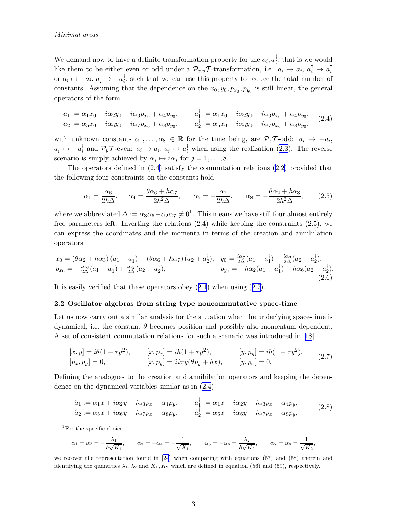<span id="page-3-0"></span>We demand now to have a definite transformation property for the  $a_i, a_i^{\dagger}$  $\frac{1}{i}$ , that is we would like them to be either even or odd under a  $\mathcal{P}_{x,y}\mathcal{T}$ -transformation, i.e.  $a_i \mapsto a_i$ ,  $a_i^{\dagger}$  $i^{\dagger} \mapsto a_i^{\dagger}$ i or  $a_i \mapsto -a_i, a_i^{\dagger}$  $i^{\dagger} \mapsto -a_i^{\dagger}$  $\frac{1}{i}$ , such that we can use this property to reduce the total number of constants. Assuming that the dependence on the  $x_0, y_0, p_{x_0}, p_{y_0}$  is still linear, the general operators of the form

$$
a_1 := \alpha_1 x_0 + i\alpha_2 y_0 + i\alpha_3 p_{x_0} + \alpha_4 p_{y_0}, \qquad a_1^{\dagger} := \alpha_1 x_0 - i\alpha_2 y_0 - i\alpha_3 p_{x_0} + \alpha_4 p_{y_0}, a_2 := \alpha_5 x_0 + i\alpha_6 y_0 + i\alpha_7 p_{x_0} + \alpha_8 p_{y_0}, \qquad a_2^{\dagger} := \alpha_5 x_0 - i\alpha_6 y_0 - i\alpha_7 p_{x_0} + \alpha_8 p_{y_0},
$$
 (2.4)

with unknown constants  $\alpha_1, \ldots, \alpha_8 \in \mathbb{R}$  for the time being, are  $\mathcal{P}_x \mathcal{T}$ -odd:  $a_i \mapsto -a_i$ ,  $a_i^\dagger$  $i^{\dagger} \mapsto -a_i^{\dagger}$  $i_i^{\dagger}$  and  $\mathcal{P}_y \mathcal{T}$ -even:  $a_i \mapsto a_i, a_i^{\dagger}$  $i \to a_i^{\dagger}$  when using the realization [\(2.3](#page-2-0)). The reverse scenario is simply achieved by  $\alpha_j \mapsto i\alpha_j$  for  $j = 1, \ldots, 8$ .

The operators defined in (2.4) satisfy the commutation relations([2.2\)](#page-2-0) provided that the following four constraints on the constants hold

$$
\alpha_1 = \frac{\alpha_6}{2\hbar\Delta}, \quad \alpha_4 = \frac{\theta\alpha_6 + \hbar\alpha_7}{2\hbar^2\Delta}, \quad \alpha_5 = -\frac{\alpha_2}{2\hbar\Delta}, \quad \alpha_8 = -\frac{\theta\alpha_2 + \hbar\alpha_3}{2\hbar^2\Delta}, \quad (2.5)
$$

where we abbreviated  $\Delta := \alpha_3 \alpha_6 - \alpha_2 \alpha_7 \neq 0^1$ . This means we have still four almost entirely free parameters left. Inverting the relations (2.4) while keeping the constraints (2.5), we can express the coordinates and the momenta in terms of the creation and annihilation operators

$$
x_0 = (\theta \alpha_2 + \hbar \alpha_3) (a_1 + a_1^{\dagger}) + (\theta \alpha_6 + \hbar \alpha_7) (a_2 + a_2^{\dagger}), \quad y_0 = \frac{i \alpha_7}{2\Delta} (a_1 - a_1^{\dagger}) - \frac{i \alpha_3}{2\Delta} (a_2 - a_2^{\dagger}), p_{x_0} = -\frac{i \alpha_6}{2\Delta} (a_1 - a_1^{\dagger}) + \frac{i \alpha_2}{2\Delta} (a_2 - a_2^{\dagger}), \qquad p_{y_0} = -\hbar \alpha_2 (a_1 + a_1^{\dagger}) - \hbar \alpha_6 (a_2 + a_2^{\dagger}).
$$
\n(2.6)

It is easily verified that these operators obey([2.1](#page-2-0)) when using([2.2](#page-2-0)).

#### 2.2 Oscillator algebras from string type noncommutative space-time

Let us now carry out a similar analysis for the situation when the underlying space-time is dynamical, i.e. the constant  $\theta$  becomes position and possibly also momentum dependent. A set of consistent commutation relations for such a scenario was introduced in[[18](#page-14-0)]

$$
[x, y] = i\theta(1 + \tau y^2), \qquad [x, p_x] = i\hbar(1 + \tau y^2), \qquad [y, p_y] = i\hbar(1 + \tau y^2),
$$
  
\n
$$
[p_x, p_y] = 0, \qquad [x, p_y] = 2i\tau y(\theta p_y + \hbar x), \qquad [y, p_x] = 0.
$$
\n(2.7)

Defining the analogues to the creation and annihilation operators and keeping the dependence on the dynamical variables similar as in (2.4)

$$
\hat{a}_1 := \alpha_1 x + i\alpha_2 y + i\alpha_3 p_x + \alpha_4 p_y, \qquad \hat{a}_1^\dagger := \alpha_1 x - i\alpha_2 y - i\alpha_3 p_x + \alpha_4 p_y, \n\hat{a}_2 := \alpha_5 x + i\alpha_6 y + i\alpha_7 p_x + \alpha_8 p_y, \qquad \hat{a}_2^\dagger := \alpha_5 x - i\alpha_6 y - i\alpha_7 p_x + \alpha_8 p_y,
$$
\n(2.8)

<sup>1</sup>For the specific choice

$$
\alpha_1 = \alpha_2 = -\frac{\lambda_1}{\hbar \sqrt{K_1}},
$$
\n $\alpha_3 = -\alpha_4 = -\frac{1}{\sqrt{K_1}},$ \n $\alpha_5 = -\alpha_6 = \frac{\lambda_2}{\hbar \sqrt{K_2}},$ \n $\alpha_7 = \alpha_8 = \frac{1}{\sqrt{K_2}},$ 

we recover the representation found in [\[24](#page-14-0)] when comparing with equations (57) and (58) therein and identifying the quantities  $\lambda_1, \lambda_2$  and  $K_1, K_2$  which are defined in equation (56) and (59), respectively.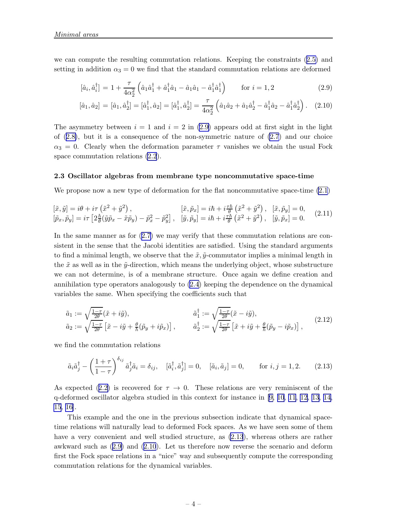<span id="page-4-0"></span>we can compute the resulting commutation relations. Keeping the constraints([2.5\)](#page-3-0) and setting in addition  $\alpha_3 = 0$  we find that the standard commutation relations are deformed

$$
[\hat{a}_i, \hat{a}_i^{\dagger}] = 1 + \frac{\tau}{4\alpha_2^2} \left( \hat{a}_1 \hat{a}_1^{\dagger} + \hat{a}_1^{\dagger} \hat{a}_1 - \hat{a}_1 \hat{a}_1 - \hat{a}_1^{\dagger} \hat{a}_1^{\dagger} \right) \n\text{ for } i = 1, 2
$$
\n(2.9)

$$
[\hat{a}_1, \hat{a}_2] = [\hat{a}_1, \hat{a}_2^{\dagger}] = [\hat{a}_1^{\dagger}, \hat{a}_2] = [\hat{a}_1^{\dagger}, \hat{a}_2^{\dagger}] = \frac{\tau}{4\alpha_2^2} \left( \hat{a}_1 \hat{a}_2 + \hat{a}_1 \hat{a}_2^{\dagger} - \hat{a}_1^{\dagger} \hat{a}_2 - \hat{a}_1^{\dagger} \hat{a}_2^{\dagger} \right). \tag{2.10}
$$

The asymmetry between  $i = 1$  and  $i = 2$  in (2.9) appears odd at first sight in the light of([2.8\)](#page-3-0), but it is a consequence of the non-symmetric nature of [\(2.7](#page-3-0)) and our choice  $\alpha_3 = 0$ . Clearly when the deformation parameter  $\tau$  vanishes we obtain the usual Fock space commutation relations [\(2.2](#page-2-0)).

#### 2.3 Oscillator algebras from membrane type noncommutative space-time

We propose now a new type of deformation for the flat noncommutative space-time  $(2.1)$ 

$$
\begin{aligned}\n[\tilde{x}, \tilde{y}] &= i\theta + i\tau \left(\tilde{x}^2 + \tilde{y}^2\right), & [\tilde{x}, \tilde{p}_x] &= i\hbar + i\frac{\tau\hbar}{\theta} \left(\tilde{x}^2 + \tilde{y}^2\right), & [\tilde{x}, \tilde{p}_y] &= 0, \\
[\tilde{p}_x, \tilde{p}_y] &= i\tau \left[2\frac{\hbar}{\theta} (\tilde{y}\tilde{p}_x - \tilde{x}\tilde{p}_y) - \tilde{p}_x^2 - \tilde{p}_y^2\right], & [\tilde{y}, \tilde{p}_y] &= i\hbar + i\frac{\tau\hbar}{\theta} \left(\tilde{x}^2 + \tilde{y}^2\right), & [\tilde{y}, \tilde{p}_x] &= 0.\n\end{aligned} \tag{2.11}
$$

Inthe same manner as for  $(2.7)$  $(2.7)$  we may verify that these commutation relations are consistent in the sense that the Jacobi identities are satisfied. Using the standard arguments to find a minimal length, we observe that the  $\tilde{x}, \tilde{y}$ -commutator implies a minimal length in the  $\tilde{x}$  as well as in the  $\tilde{y}$ -direction, which means the underlying object, whose substructure we can not determine, is of a membrane structure. Once again we define creation and annihilation type operators analogously to [\(2.4](#page-3-0)) keeping the dependence on the dynamical variables the same. When specifying the coefficients such that

$$
\tilde{a}_1 := \sqrt{\frac{1-\tau}{2\theta}} (\tilde{x} + i\tilde{y}), \qquad \qquad \tilde{a}_1^\dagger := \sqrt{\frac{1-\tau}{2\theta}} (\tilde{x} - i\tilde{y}), \n\tilde{a}_2 := \sqrt{\frac{1-\tau}{2\theta}} [\tilde{x} - i\tilde{y} + \frac{\theta}{\hbar} (\tilde{p}_y + i\tilde{p}_x)], \qquad \tilde{a}_2^\dagger := \sqrt{\frac{1-\tau}{2\theta}} [\tilde{x} + i\tilde{y} + \frac{\theta}{\hbar} (\tilde{p}_y - i\tilde{p}_x)],
$$
\n(2.12)

we find the commutation relations

$$
\tilde{a}_i \tilde{a}_j^{\dagger} - \left(\frac{1+\tau}{1-\tau}\right)^{\delta_{ij}} \tilde{a}_j^{\dagger} \tilde{a}_i = \delta_{ij}, \quad [\tilde{a}_i^{\dagger}, \tilde{a}_j^{\dagger}] = 0, \quad [\tilde{a}_i, \tilde{a}_j] = 0, \quad \text{for } i, j = 1, 2. \tag{2.13}
$$

Asexpected ([2.2\)](#page-2-0) is recovered for  $\tau \to 0$ . These relations are very reminiscent of the q-deformed oscillator algebra studied in this context for instance in [\[9, 10](#page-13-0), [11](#page-13-0), [12](#page-13-0), [13](#page-13-0), [14,](#page-13-0) [15](#page-13-0), [16\]](#page-14-0).

This example and the one in the previous subsection indicate that dynamical spacetime relations will naturally lead to deformed Fock spaces. As we have seen some of them have a very convenient and well studied structure, as  $(2.13)$ , whereas others are rather awkward such as (2.9) and (2.10). Let us therefore now reverse the scenario and deform first the Fock space relations in a "nice" way and subsequently compute the corresponding commutation relations for the dynamical variables.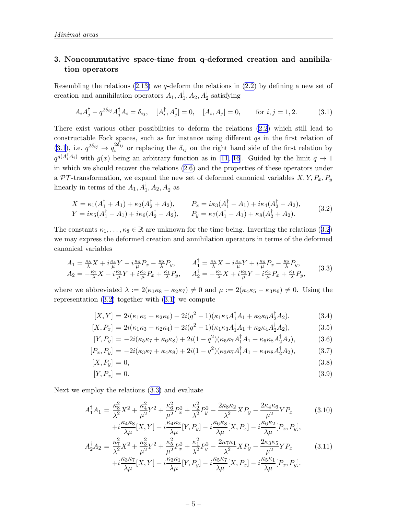# <span id="page-5-0"></span>3. Noncommutative space-time from q-deformed creation and annihilation operators

Resemblingthe relations  $(2.13)$  we q-deform the relations in  $(2.2)$  $(2.2)$  by defining a new set of creation and annihilation operators  $A_1, A_1^{\dagger}, A_2, A_2^{\dagger}$  satisfying

$$
A_i A_j^{\dagger} - q^{2\delta_{ij}} A_j^{\dagger} A_i = \delta_{ij}, \quad [A_i^{\dagger}, A_j^{\dagger}] = 0, \quad [A_i, A_j] = 0, \quad \text{for } i, j = 1, 2. \tag{3.1}
$$

There exist various other possibilities to deform the relations [\(2.2\)](#page-2-0) which still lead to constructable Fock spaces, such as for instance using different qs in the first relation of  $(3.1)$ , i.e.  $q^{2\delta_{ij}} \rightarrow q_i^{2\delta_{ij}}$  $\sum_{i=1}^{2\sigma_{ij}}$  or replacing the  $\delta_{ij}$  on the right hand side of the first relation by  $q^{g(A_i^{\dagger} A_i)}$  with  $g(x)$  being an arbitrary function as in [\[11](#page-13-0), [16](#page-14-0)]. Guided by the limit  $q \to 1$ in which we should recover the relations([2.6\)](#page-3-0) and the properties of these operators under a  $\mathcal{PT}$ -transformation, we expand the new set of deformed canonical variables  $X, Y, P_x, P_y$ linearly in terms of the  $A_1, A_1^{\dagger}, A_2, A_2^{\dagger}$  as

$$
X = \kappa_1(A_1^{\dagger} + A_1) + \kappa_2(A_2^{\dagger} + A_2), \qquad P_x = i\kappa_3(A_1^{\dagger} - A_1) + i\kappa_4(A_2^{\dagger} - A_2),
$$
  
\n
$$
Y = i\kappa_5(A_1^{\dagger} - A_1) + i\kappa_6(A_2^{\dagger} - A_2), \qquad P_y = \kappa_7(A_1^{\dagger} + A_1) + \kappa_8(A_2^{\dagger} + A_2).
$$
 (3.2)

The constants  $\kappa_1, \ldots, \kappa_8 \in \mathbb{R}$  are unknown for the time being. Inverting the relations (3.2) we may express the deformed creation and annihilation operators in terms of the deformed canonical variables

$$
A_1 = \frac{\kappa_8}{\lambda} X + i\frac{\kappa_4}{\mu} Y - i\frac{\kappa_6}{\mu} P_x - \frac{\kappa_2}{\lambda} P_y, \qquad A_1^{\dagger} = \frac{\kappa_8}{\lambda} X - i\frac{\kappa_4}{\mu} Y + i\frac{\kappa_6}{\mu} P_x - \frac{\kappa_2}{\lambda} P_y, A_2 = -\frac{\kappa_7}{\lambda} X - i\frac{\kappa_3}{\mu} Y + i\frac{\kappa_5}{\mu} P_x + \frac{\kappa_1}{\lambda} P_y, \qquad A_2^{\dagger} = -\frac{\kappa_7}{\lambda} X + i\frac{\kappa_3}{\mu} Y - i\frac{\kappa_5}{\mu} P_x + \frac{\kappa_1}{\lambda} P_y,
$$
 (3.3)

where we abbreviated  $\lambda := 2(\kappa_1 \kappa_8 - \kappa_2 \kappa_7) \neq 0$  and  $\mu := 2(\kappa_4 \kappa_5 - \kappa_3 \kappa_6) \neq 0$ . Using the representation  $(3.2)$  together with  $(3.1)$  we compute

$$
[X,Y] = 2i(\kappa_1\kappa_5 + \kappa_2\kappa_6) + 2i(q^2 - 1)(\kappa_1\kappa_5A_1^{\dagger}A_1 + \kappa_2\kappa_6A_2^{\dagger}A_2),
$$
\n(3.4)

$$
[X, P_x] = 2i(\kappa_1 \kappa_3 + \kappa_2 \kappa_4) + 2i(q^2 - 1)(\kappa_1 \kappa_3 A_1^{\dagger} A_1 + \kappa_2 \kappa_4 A_2^{\dagger} A_2), \tag{3.5}
$$

$$
[Y, P_y] = -2i(\kappa_5 \kappa_7 + \kappa_6 \kappa_8) + 2i(1 - q^2)(\kappa_5 \kappa_7 A_1^{\dagger} A_1 + \kappa_6 \kappa_8 A_2^{\dagger} A_2), \tag{3.6}
$$

$$
[P_x, P_y] = -2i(\kappa_3 \kappa_7 + \kappa_4 \kappa_8) + 2i(1 - q^2)(\kappa_3 \kappa_7 A_1^{\dagger} A_1 + \kappa_4 \kappa_8 A_2^{\dagger} A_2), \tag{3.7}
$$

$$
[X, P_y] = 0,\t\t(3.8)
$$

$$
[Y, P_x] = 0. \tag{3.9}
$$

Next we employ the relations (3.3) and evaluate

$$
A_1^{\dagger} A_1 = \frac{\kappa_8^2}{\lambda^2} X^2 + \frac{\kappa_4^2}{\mu^2} Y^2 + \frac{\kappa_6^2}{\mu^2} P_x^2 + \frac{\kappa_2^2}{\lambda^2} P_y^2 - \frac{2\kappa_8 \kappa_2}{\lambda^2} X P_y - \frac{2\kappa_4 \kappa_6}{\mu^2} Y P_x \tag{3.10}
$$

$$
+i\frac{\mu_{1}^{2}N_{0}}{\lambda\mu}[X,Y] + i\frac{\mu_{1}^{2}N_{2}}{\lambda\mu}[Y,P_{y}] - i\frac{\mu_{0}^{2}N_{0}}{\lambda\mu}[X,P_{x}] - i\frac{\mu_{0}^{2}N_{2}}{\lambda\mu}[P_{x},P_{y}],
$$
  
\n
$$
A_{2}^{\dagger}A_{2} = \frac{\kappa_{7}^{2}}{\lambda^{2}}X^{2} + \frac{\kappa_{3}^{2}}{\mu^{2}}Y^{2} + \frac{\kappa_{5}^{2}}{\mu^{2}}P_{x}^{2} + \frac{\kappa_{1}^{2}}{\lambda^{2}}P_{y}^{2} - \frac{2\kappa_{7}\kappa_{1}}{\lambda^{2}}XP_{y} - \frac{2\kappa_{3}\kappa_{5}}{\mu^{2}}YP_{x}
$$
  
\n
$$
+i\frac{\kappa_{3}\kappa_{7}}{\lambda\mu}[X,Y] + i\frac{\kappa_{3}\kappa_{1}}{\lambda\mu}[Y,P_{y}] - i\frac{\kappa_{5}\kappa_{7}}{\lambda\mu}[X,P_{x}] - i\frac{\kappa_{5}\kappa_{1}}{\lambda\mu}[P_{x},P_{y}].
$$
\n(3.11)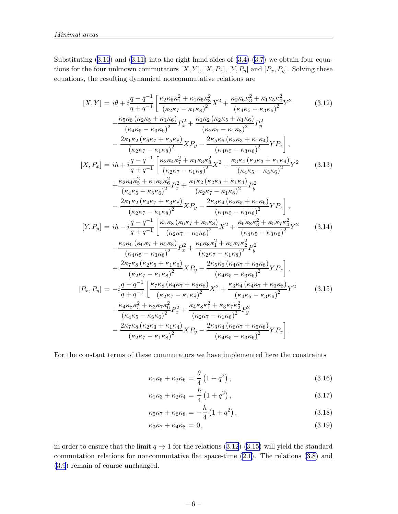<span id="page-6-0"></span>Substituting $(3.10)$  $(3.10)$  $(3.10)$  and  $(3.11)$  into the right hand sides of  $(3.4)-(3.7)$  $(3.4)-(3.7)$  we obtain four equations for the four unknown commutators  $[X, Y]$ ,  $[X, P_x]$ ,  $[Y, P_y]$  and  $[P_x, P_y]$ . Solving these equations, the resulting dynamical noncommutative relations are

$$
[X,Y] = i\theta + i\frac{q - q^{-1}}{q + q^{-1}} \left[ \frac{\kappa_2 \kappa_6 \kappa_7^2 + \kappa_1 \kappa_5 \kappa_8^2}{(\kappa_2 \kappa_7 - \kappa_1 \kappa_8)^2} X^2 + \frac{\kappa_2 \kappa_6 \kappa_3^2 + \kappa_1 \kappa_5 \kappa_4^2}{(\kappa_4 \kappa_5 - \kappa_3 \kappa_6)^2} Y^2 \right] \tag{3.12}
$$
  
+ 
$$
\frac{\kappa_5 \kappa_6 (\kappa_2 \kappa_5 + \kappa_1 \kappa_6)}{(\kappa_4 \kappa_5 - \kappa_3 \kappa_6)^2} P_x^2 + \frac{\kappa_1 \kappa_2 (\kappa_2 \kappa_5 + \kappa_1 \kappa_6)}{(\kappa_2 \kappa_7 - \kappa_1 \kappa_8)^2} P_y^2 \right] \tag{3.12}
$$
  
- 
$$
\frac{2\kappa_1 \kappa_2 (\kappa_6 \kappa_7 + \kappa_5 \kappa_8)}{(\kappa_2 \kappa_7 - \kappa_1 \kappa_8)^2} X P_y - \frac{2\kappa_5 \kappa_6 (\kappa_2 \kappa_3 + \kappa_1 \kappa_4)}{(\kappa_4 \kappa_5 - \kappa_3 \kappa_6)^2} Y P_x \right],
$$
  

$$
[X, P_x] = i\hbar + i\frac{q - q^{-1}}{q + q^{-1}} \left[ \frac{\kappa_2 \kappa_4 \kappa_7^2 + \kappa_1 \kappa_3 \kappa_8^2}{(\kappa_2 \kappa_7 - \kappa_1 \kappa_8)^2} X^2 + \frac{\kappa_3 \kappa_4 (\kappa_2 \kappa_3 + \kappa_1 \kappa_4)}{(\kappa_4 \kappa_5 - \kappa_3 \kappa_6)^2} P_y^2 \right] \tag{3.13}
$$
  
+ 
$$
\frac{\kappa_2 \kappa_4 \kappa_5^2 + \kappa_1 \kappa_3 \kappa_6^2}{(\kappa_4 \kappa_5 - \kappa_3 \kappa_6)^2} Y P_x \right],
$$
  

$$
[Y, P_y] = i\hbar - i\frac{q - q^{-1}}{q + q^{-1}} \left
$$

For the constant terms of these commutators we have implemented here the constraints

$$
\kappa_1 \kappa_5 + \kappa_2 \kappa_6 = \frac{\theta}{4} \left( 1 + q^2 \right),\tag{3.16}
$$

$$
\kappa_1 \kappa_3 + \kappa_2 \kappa_4 = \frac{\hbar}{4} \left( 1 + q^2 \right), \tag{3.17}
$$

$$
\kappa_5 \kappa_7 + \kappa_6 \kappa_8 = -\frac{\hbar}{4} \left( 1 + q^2 \right),\tag{3.18}
$$

$$
\kappa_3 \kappa_7 + \kappa_4 \kappa_8 = 0,\tag{3.19}
$$

in order to ensure that the limit  $q \to 1$  for the relations (3.12)-(3.15) will yield the standard commutation relations for noncommutative flat space-time [\(2.1\)](#page-2-0). The relations [\(3.8\)](#page-5-0) and [\(3.9](#page-5-0)) remain of course unchanged.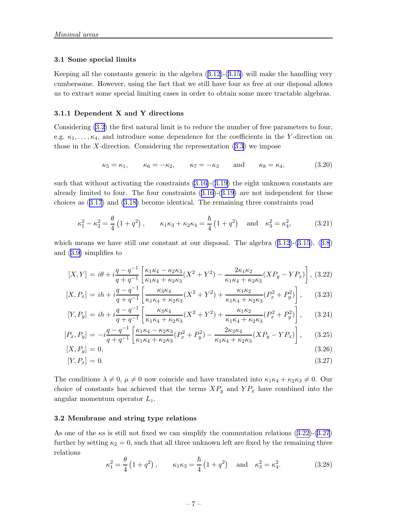#### <span id="page-7-0"></span>3.1 Some special limits

Keeping all the constants generic in the algebra([3.12\)](#page-6-0)-([3.15\)](#page-6-0) will make the handling very cumbersome. However, using the fact that we still have four  $\kappa s$  free at our disposal allows us to extract some special limiting cases in order to obtain some more tractable algebras.

#### 3.1.1 Dependent X and Y directions

Considering [\(3.2](#page-5-0)) the first natural limit is to reduce the number of free parameters to four, e.g.  $\kappa_1, \ldots, \kappa_4$ , and introduce some dependence for the coefficients in the Y-direction on those in the X-direction. Considering the representation  $(3.3)$  we impose

$$
\kappa_5 = \kappa_1, \qquad \kappa_6 = -\kappa_2, \qquad \kappa_7 = -\kappa_3 \qquad \text{and} \qquad \kappa_8 = \kappa_4,
$$
\n(3.20)

such that without activating the constraints  $(3.16)-(3.19)$  $(3.16)-(3.19)$  the eight unknown constants are alreadylimited to four. The four constraints  $(3.16)-(3.19)$  $(3.16)-(3.19)$  $(3.16)-(3.19)$  $(3.16)-(3.19)$  $(3.16)-(3.19)$  are not independent for these choices as([3.17\)](#page-6-0) and [\(3.18\)](#page-6-0) become identical. The remaining three constraints read

$$
\kappa_1^2 - \kappa_2^2 = \frac{\theta}{4} (1 + q^2), \qquad \kappa_1 \kappa_3 + \kappa_2 \kappa_4 = \frac{\hbar}{4} (1 + q^2) \quad \text{and} \quad \kappa_3^2 = \kappa_4^2,
$$
\n(3.21)

whichmeans we have still one constant at our disposal. The algebra  $(3.12)-(3.15)$  $(3.12)-(3.15)$  $(3.12)-(3.15)$  $(3.12)-(3.15)$  $(3.12)-(3.15)$ ,  $(3.8)$  $(3.8)$  $(3.8)$ and([3.9\)](#page-5-0) simplifies to

$$
[X,Y] = i\theta + i\frac{q - q^{-1}}{q + q^{-1}} \left[ \frac{\kappa_1 \kappa_4 - \kappa_2 \kappa_3}{\kappa_1 \kappa_4 + \kappa_2 \kappa_3} (X^2 + Y^2) - \frac{2\kappa_1 \kappa_2}{\kappa_1 \kappa_4 + \kappa_2 \kappa_3} (XP_y - YP_x) \right],
$$
 (3.22)

$$
[X, P_x] = ih + i\frac{q - q^{-1}}{q + q^{-1}} \left[ \frac{\kappa_3 \kappa_4}{\kappa_1 \kappa_4 + \kappa_2 \kappa_3} (X^2 + Y^2) + \frac{\kappa_1 \kappa_2}{\kappa_1 \kappa_4 + \kappa_2 \kappa_3} (P_x^2 + P_y^2) \right], \quad (3.23)
$$

$$
[Y, P_y] = ih + i\frac{q - q^{-1}}{q + q^{-1}} \left[ \frac{\kappa_3 \kappa_4}{\kappa_1 \kappa_4 + \kappa_2 \kappa_3} (X^2 + Y^2) + \frac{\kappa_1 \kappa_2}{\kappa_1 \kappa_4 + \kappa_2 \kappa_3} (P_x^2 + P_y^2) \right],
$$
 (3.24)

$$
[P_x, P_y] = -i\frac{q - q^{-1}}{q + q^{-1}} \left[ \frac{\kappa_1 \kappa_4 - \kappa_2 \kappa_3}{\kappa_1 \kappa_4 + \kappa_2 \kappa_3} (P_x^2 + P_y^2) - \frac{2\kappa_3 \kappa_4}{\kappa_1 \kappa_4 + \kappa_2 \kappa_3} (XP_y - YP_x) \right],
$$
 (3.25)

$$
[X, P_y] = 0,\t(3.26)
$$

$$
[Y, P_x] = 0. \t\t(3.27)
$$

The conditions  $\lambda \neq 0$ ,  $\mu \neq 0$  now coincide and have translated into  $\kappa_1 \kappa_4 + \kappa_2 \kappa_3 \neq 0$ . Our choice of constants has achieved that the terms  $XP_y$  and  $YP_x$  have combined into the angular momentum operator  $L_z$ .

#### 3.2 Membrane and string type relations

As one of the  $\kappa s$  is still not fixed we can simplify the commutation relations  $(3.22)-(3.27)$ further by setting  $\kappa_2 = 0$ , such that all three unknown left are fixed by the remaining three relations

$$
\kappa_1^2 = \frac{\theta}{4} (1 + q^2), \qquad \kappa_1 \kappa_3 = \frac{\hbar}{4} (1 + q^2) \quad \text{and} \quad \kappa_3^2 = \kappa_4^2.
$$
\n(3.28)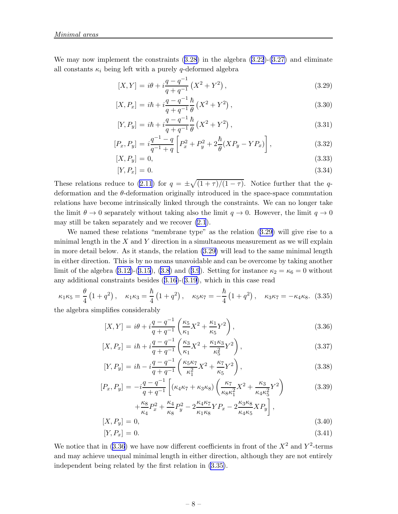<span id="page-8-0"></span>Wemay now implement the constraints  $(3.28)$  $(3.28)$  $(3.28)$  in the algebra  $(3.22)-(3.27)$  $(3.22)-(3.27)$  and eliminate all constants  $\kappa_i$  being left with a purely q-deformed algebra

$$
[X,Y] = i\theta + i\frac{q - q^{-1}}{q + q^{-1}}\left(X^2 + Y^2\right),\tag{3.29}
$$

$$
[X, P_x] = i\hbar + i\frac{q - q^{-1}}{q + q^{-1}}\frac{\hbar}{\theta} (X^2 + Y^2), \qquad (3.30)
$$

$$
[Y, P_y] = i\hbar + i\frac{q - q^{-1}}{q + q^{-1}}\frac{\hbar}{\theta} \left(X^2 + Y^2\right),\tag{3.31}
$$

$$
[P_x, P_y] = i \frac{q^{-1} - q}{q^{-1} + q} \left[ P_x^2 + P_y^2 + 2 \frac{\hbar}{\theta} (XP_y - YP_x) \right],
$$
\n(3.32)

$$
[X, P_y] = 0,\t\t(3.33)
$$

$$
[Y, P_x] = 0. \t\t(3.34)
$$

These relations reduce to [\(2.11](#page-4-0)) for  $q = \pm \sqrt{(1+\tau)/(1-\tau)}$ . Notice further that the qdeformation and the θ-deformation originally introduced in the space-space commutation relations have become intrinsically linked through the constraints. We can no longer take the limit  $\theta \to 0$  separately without taking also the limit  $q \to 0$ . However, the limit  $q \to 0$ may still be taken separately and we recover [\(2.1](#page-2-0)).

We named these relations "membrane type" as the relation (3.29) will give rise to a minimal length in the  $X$  and  $Y$  direction in a simultaneous measurement as we will explain in more detail below. As it stands, the relation (3.29) will lead to the same minimal length in either direction. This is by no means unavoidable and can be overcome by taking another limit of the algebra [\(3.12\)](#page-6-0)-([3.15\)](#page-6-0), [\(3.8](#page-5-0))and ([3.9](#page-5-0)). Setting for instance  $\kappa_2 = \kappa_6 = 0$  without any additional constraints besides([3.16\)](#page-6-0)-([3.19](#page-6-0)), which in this case read

$$
\kappa_1 \kappa_5 = \frac{\theta}{4} \left( 1 + q^2 \right), \quad \kappa_1 \kappa_3 = \frac{\hbar}{4} \left( 1 + q^2 \right), \quad \kappa_5 \kappa_7 = -\frac{\hbar}{4} \left( 1 + q^2 \right), \quad \kappa_3 \kappa_7 = -\kappa_4 \kappa_8. \tag{3.35}
$$

the algebra simplifies considerably

$$
[X,Y] = i\theta + i\frac{q - q^{-1}}{q + q^{-1}} \left(\frac{\kappa_5}{\kappa_1} X^2 + \frac{\kappa_1}{\kappa_5} Y^2\right),\tag{3.36}
$$

$$
[X, P_x] = i\hbar + i\frac{q - q^{-1}}{q + q^{-1}} \left(\frac{\kappa_3}{\kappa_1} X^2 + \frac{\kappa_1 \kappa_3}{\kappa_5^2} Y^2\right),\tag{3.37}
$$

$$
[Y, P_y] = i\hbar - i\frac{q - q^{-1}}{q + q^{-1}} \left( \frac{\kappa_5 \kappa_7}{\kappa_1^2} X^2 + \frac{\kappa_7}{\kappa_5} Y^2 \right),\tag{3.38}
$$

$$
[P_x, P_y] = -i\frac{q - q^{-1}}{q + q^{-1}} \left[ (\kappa_4 \kappa_7 + \kappa_3 \kappa_8) \left( \frac{\kappa_7}{\kappa_8 \kappa_1^2} X^2 + \frac{\kappa_3}{\kappa_4 \kappa_5^2} Y^2 \right) \right]
$$
(3.39)

$$
+\frac{\kappa_8}{\kappa_4}P_x^2 + \frac{\kappa_4}{\kappa_8}P_y^2 - 2\frac{\kappa_4 \kappa_7}{\kappa_1 \kappa_8}YP_x - 2\frac{\kappa_3 \kappa_8}{\kappa_4 \kappa_5}XP_y\Big],
$$
  
[*X*, *P<sub>y</sub>*] = 0, (3.40)

$$
[Y, P_x] = 0. \t\t(3.41)
$$

We notice that in (3.36) we have now different coefficients in front of the  $X^2$  and  $Y^2$ -terms and may achieve unequal minimal length in either direction, although they are not entirely independent being related by the first relation in (3.35).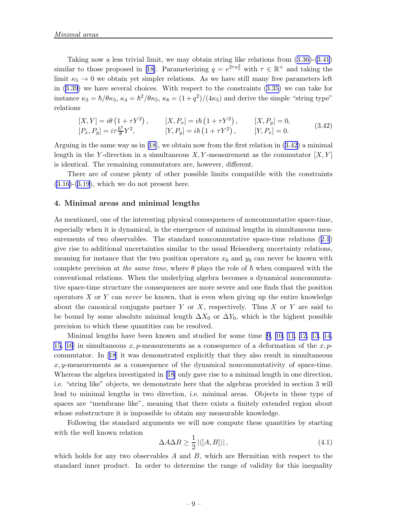Taking now a less trivial limit, we may obtain string like relations from([3.36\)](#page-8-0)-([3.41](#page-8-0)) similarto those proposed in [[18\]](#page-14-0). Parameterizing  $q = e^{2\tau\kappa_5^2}$  with  $\tau \in \mathbb{R}^+$  and taking the limit  $\kappa_5 \rightarrow 0$  we obtain yet simpler relations. As we have still many free parameters left in([3.39](#page-8-0)) we have several choices. With respect to the constraints([3.35\)](#page-8-0) we can take for instance  $\kappa_3 = \hbar/\theta \kappa_5$ ,  $\kappa_4 = \hbar^2/\theta \kappa_5$ ,  $\kappa_8 = (1+q^2)/(4\kappa_5)$  and derive the simple "string type" relations

$$
[X,Y] = i\theta (1 + \tau Y^2), \qquad [X,P_x] = i\hbar (1 + \tau Y^2), \qquad [X,P_y] = 0, [P_x,P_y] = i\tau \frac{\hbar^2}{\theta} Y^2, \qquad [Y,P_y] = i\hbar (1 + \tau Y^2), \qquad [Y,P_x] = 0.
$$
 (3.42)

Arguing in the same way as in [\[18](#page-14-0)], we obtain now from the first relation in  $(3.42)$  a minimal length in the Y-direction in a simultaneous  $X, Y$ -measurement as the commutator  $[X, Y]$ is identical. The remaining commutators are, however, different.

There are of course plenty of other possible limits compatible with the constraints  $(3.16)-(3.19)$  $(3.16)-(3.19)$  $(3.16)-(3.19)$ , which we do not present here.

#### 4. Minimal areas and minimal lengths

As mentioned, one of the interesting physical consequences of noncommutative space-time, especially when it is dynamical, is the emergence of minimal lengths in simultaneous measurements of two observables. The standard noncommutative space-time relations([2.1](#page-2-0)) give rise to additional uncertainties similar to the usual Heisenberg uncertainty relations, meaning for instance that the two position operators  $x_0$  and  $y_0$  can never be known with complete precision at the same time, where  $\theta$  plays the role of  $\hbar$  when compared with the conventional relations. When the underlying algebra becomes a dynamical noncommutative space-time structure the consequences are more severe and one finds that the position operators  $X$  or  $Y$  can never be known, that is even when giving up the entire knowledge about the canonical conjugate partner Y or X, respectively. Thus X or Y are said to be bound by some absolute minimal length  $\Delta X_0$  or  $\Delta Y_0$ , which is the highest possible precision to which these quantities can be resolved.

Minimal lengths have been known and studied for some time[[9](#page-13-0), [10, 11](#page-13-0), [12, 13](#page-13-0), [14,](#page-13-0) [15](#page-13-0), [16](#page-14-0) in simultaneous x, p-measurements as a consequence of a deformation of the x, pcommutator. In[[18](#page-14-0)] it was demonstrated explicitly that they also result in simultaneous  $x, y$ -measurements as a consequence of the dynamical noncommutativity of space-time. Whereas the algebra investigated in [\[18](#page-14-0)] only gave rise to a minimal length in one direction, i.e. "string like" objects, we demonstrate here that the algebras provided in section 3 will lead to minimal lengths in two direction, i.e. minimal areas. Objects in these type of spaces are "membrane like", meaning that there exists a finitely extended region about whose substructure it is impossible to obtain any measurable knowledge.

Following the standard arguments we will now compute these quantities by starting with the well known relation

$$
\Delta A \Delta B \ge \frac{1}{2} |\langle [A, B] \rangle| \,, \tag{4.1}
$$

which holds for any two observables  $A$  and  $B$ , which are Hermitian with respect to the standard inner product. In order to determine the range of validity for this inequality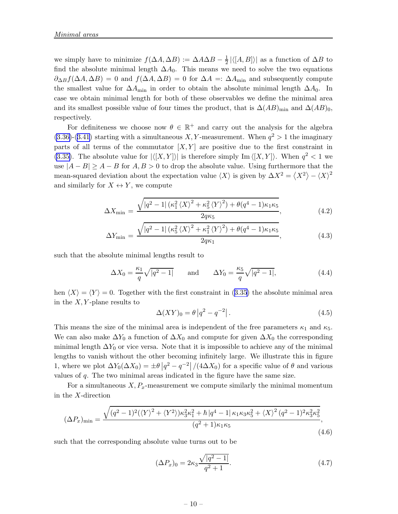<span id="page-10-0"></span>we simply have to minimize  $f(\Delta A, \Delta B) := \Delta A \Delta B - \frac{1}{2}$  $\frac{1}{2} |\langle [A, B] \rangle|$  as a function of  $\Delta B$  to find the absolute minimal length  $\Delta A_0$ . This means we need to solve the two equations  $\partial_{\Delta B} f(\Delta A, \Delta B) = 0$  and  $f(\Delta A, \Delta B) = 0$  for  $\Delta A =: \Delta A_{\text{min}}$  and subsequently compute the smallest value for  $\Delta A_{\text{min}}$  in order to obtain the absolute minimal length  $\Delta A_0$ . In case we obtain minimal length for both of these observables we define the minimal area and its smallest possible value of four times the product, that is  $\Delta(AB)_{\text{min}}$  and  $\Delta(AB)_{0}$ , respectively.

For definiteness we choose now  $\theta \in \mathbb{R}^+$  and carry out the analysis for the algebra  $(3.36)-(3.41)$  $(3.36)-(3.41)$  $(3.36)-(3.41)$  starting with a simultaneous X, Y-measurement. When  $q^2 > 1$  the imaginary parts of all terms of the commutator  $[X, Y]$  are positive due to the first constraint in [\(3.35\)](#page-8-0). The absolute value for  $|\langle [X, Y] \rangle|$  is therefore simply Im  $\langle [X, Y] \rangle$ . When  $q^2 < 1$  we use  $|A - B| \ge A - B$  for  $A, B > 0$  to drop the absolute value. Using furthermore that the mean-squared deviation about the expectation value  $\langle X \rangle$  is given by  $\Delta X^2 = \langle X^2 \rangle - \langle X \rangle^2$ and similarly for  $X \leftrightarrow Y$ , we compute

$$
\Delta X_{\min} = \frac{\sqrt{|q^2 - 1| \left(\kappa_1^2 \left\langle X \right\rangle^2 + \kappa_5^2 \left\langle Y \right\rangle^2\right) + \theta (q^4 - 1) \kappa_1 \kappa_5}}{2q\kappa_5},\tag{4.2}
$$

$$
\Delta Y_{\min} = \frac{\sqrt{|q^2 - 1| \left(\kappa_5^2 \left\langle X \right\rangle^2 + \kappa_1^2 \left\langle Y \right\rangle^2\right) + \theta (q^4 - 1) \kappa_1 \kappa_5}}{2q \kappa_1},\tag{4.3}
$$

such that the absolute minimal lengths result to

$$
\Delta X_0 = \frac{\kappa_1}{q} \sqrt{|q^2 - 1|} \quad \text{and} \quad \Delta Y_0 = \frac{\kappa_5}{q} \sqrt{|q^2 - 1|}, \tag{4.4}
$$

hen $\langle X \rangle = \langle Y \rangle = 0$ . Together with the first constraint in ([3.35](#page-8-0)) the absolute minimal area in the  $X, Y$ -plane results to

$$
\Delta(XY)_0 = \theta |q^2 - q^{-2}|. \tag{4.5}
$$

This means the size of the minimal area is independent of the free parameters  $\kappa_1$  and  $\kappa_5$ . We can also make  $\Delta Y_0$  a function of  $\Delta X_0$  and compute for given  $\Delta X_0$  the corresponding minimal length  $\Delta Y_0$  or vice versa. Note that it is impossible to achieve any of the minimal lengths to vanish without the other becoming infinitely large. We illustrate this in figure 1, where we plot  $\Delta Y_0(\Delta X_0) = \pm \theta \left| q^2 - q^{-2} \right| / (4 \Delta X_0)$  for a specific value of  $\theta$  and various values of q. The two minimal areas indicated in the figure have the same size.

For a simultaneous  $X, P_x$ -measurement we compute similarly the minimal momentum in the X-direction

$$
(\Delta P_x)_{\min} = \frac{\sqrt{(q^2 - 1)^2 (\langle Y \rangle^2 + \langle Y^2 \rangle) \kappa_3^2 \kappa_1^2 + \hbar |q^4 - 1| \kappa_1 \kappa_3 \kappa_5^2 + \langle X \rangle^2 (q^2 - 1)^2 \kappa_3^2 \kappa_5^2}}{(q^2 + 1) \kappa_1 \kappa_5},
$$
\n(4.6)

such that the corresponding absolute value turns out to be

$$
(\Delta P_x)_0 = 2\kappa_3 \frac{\sqrt{|q^2 - 1|}}{q^2 + 1}.
$$
\n(4.7)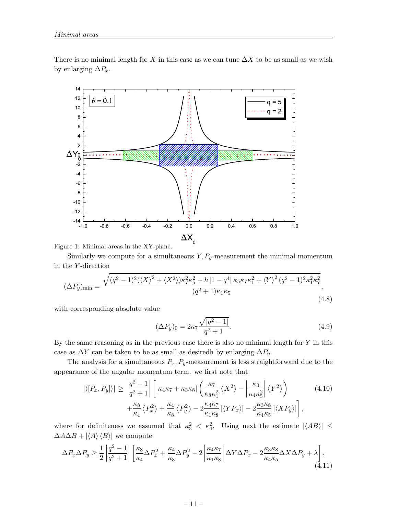<span id="page-11-0"></span>There is no minimal length for X in this case as we can tune  $\Delta X$  to be as small as we wish by enlarging  $\Delta P_x$ .



Figure 1: Minimal areas in the XY-plane.

Similarly we compute for a simultaneous  $Y, P_y$ -measurement the minimal momentum in the Y -direction

$$
(\Delta P_y)_{\min} = \frac{\sqrt{(q^2 - 1)^2 (\langle X \rangle^2 + \langle X^2 \rangle) \kappa_7^2 \kappa_5^2 + \hbar |1 - q^4| \kappa_5 \kappa_7 \kappa_1^2 + \langle Y \rangle^2 (q^2 - 1)^2 \kappa_1^2 \kappa_7^2}}{(q^2 + 1) \kappa_1 \kappa_5},
$$
\n(4.8)

with corresponding absolute value

$$
(\Delta P_y)_0 = 2\kappa_7 \frac{\sqrt{|q^2 - 1|}}{q^2 + 1}.
$$
\n(4.9)

By the same reasoning as in the previous case there is also no minimal length for  $Y$  in this case as  $\Delta Y$  can be taken to be as small as desiredh by enlarging  $\Delta P_y$ .

The analysis for a simultaneous  $P_x$ ,  $P_y$ -measurement is less straightforward due to the appearance of the angular momentum term. we first note that

$$
|\langle [P_x, P_y] \rangle| \ge \left| \frac{q^2 - 1}{q^2 + 1} \right| \left[ |\kappa_4 \kappa_7 + \kappa_3 \kappa_8| \left( \frac{\kappa_7}{\kappa_8 \kappa_1^2} \langle X^2 \rangle - \left| \frac{\kappa_3}{\kappa_4 \kappa_5^2} \right| \langle Y^2 \rangle \right) + \frac{\kappa_8}{\kappa_4} \langle P_x^2 \rangle + \frac{\kappa_4}{\kappa_8} \langle P_y^2 \rangle - 2 \frac{\kappa_4 \kappa_7}{\kappa_1 \kappa_8} |\langle Y P_x \rangle| - 2 \frac{\kappa_3 \kappa_8}{\kappa_4 \kappa_5} |\langle X P_y \rangle| \right], \tag{4.10}
$$

where for definiteness we assumed that  $\kappa_3^2 < \kappa_4^2$ . Using next the estimate  $|\langle AB \rangle| \le$  $\Delta A\Delta B + |\langle A \rangle \langle B \rangle|$  we compute

$$
\Delta P_x \Delta P_y \ge \frac{1}{2} \left| \frac{q^2 - 1}{q^2 + 1} \right| \left[ \frac{\kappa_8}{\kappa_4} \Delta P_x^2 + \frac{\kappa_4}{\kappa_8} \Delta P_y^2 - 2 \left| \frac{\kappa_4 \kappa_7}{\kappa_1 \kappa_8} \right| \Delta Y \Delta P_x - 2 \frac{\kappa_3 \kappa_8}{\kappa_4 \kappa_5} \Delta X \Delta P_y + \lambda \right], \tag{4.11}
$$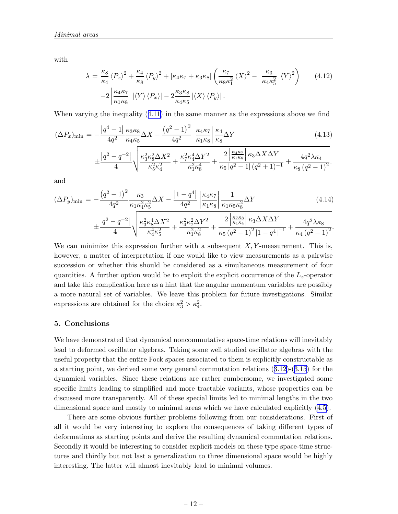with

$$
\lambda = \frac{\kappa_8}{\kappa_4} \langle P_x \rangle^2 + \frac{\kappa_4}{\kappa_8} \langle P_y \rangle^2 + |\kappa_4 \kappa_7 + \kappa_3 \kappa_8| \left( \frac{\kappa_7}{\kappa_8 \kappa_1^2} \langle X \rangle^2 - \left| \frac{\kappa_3}{\kappa_4 \kappa_5^2} \right| \langle Y \rangle^2 \right) \tag{4.12}
$$

$$
-2 \left| \frac{\kappa_4 \kappa_7}{\kappa_1 \kappa_8} \right| |\langle Y \rangle \langle P_x \rangle| - 2 \frac{\kappa_3 \kappa_8}{\kappa_4 \kappa_5} |\langle X \rangle \langle P_y \rangle|.
$$

When varying the inequality([4.11\)](#page-11-0) in the same manner as the expressions above we find

$$
(\Delta P_x)_{\min} = -\frac{|q^4 - 1|}{4q^2} \frac{\kappa_3 \kappa_8}{\kappa_4 \kappa_5} \Delta X - \frac{(q^2 - 1)^2}{4q^2} \left| \frac{\kappa_4 \kappa_7}{\kappa_1 \kappa_8} \right| \frac{\kappa_4}{\kappa_8} \Delta Y
$$
(4.13)  

$$
\pm \frac{|q^2 - q^{-2}|}{4} \sqrt{\frac{\kappa_3^2 \kappa_8^2 \Delta X^2}{\kappa_5^2 \kappa_4^2} + \frac{\kappa_7^2 \kappa_4^4 \Delta Y^2}{\kappa_1^2 \kappa_8^4} + \frac{2 \left| \frac{\kappa_4 \kappa_7}{\kappa_1 \kappa_8} \right| \kappa_3 \Delta X \Delta Y}{\kappa_5 |q^2 - 1| (q^2 + 1)^{-1}} + \frac{4q^2 \lambda \kappa_4}{\kappa_8 (q^2 - 1)^2}.
$$

and

$$
(\Delta P_y)_{\min} = -\frac{\left(q^2 - 1\right)^2}{4q^2} \frac{\kappa_3}{\kappa_1 \kappa_4^2 \kappa_5^2} \Delta X - \frac{\left|1 - q^4\right|}{4q^2} \left|\frac{\kappa_4 \kappa_7}{\kappa_1 \kappa_8}\right| \frac{1}{\kappa_1 \kappa_5 \kappa_8^2} \Delta Y \tag{4.14}
$$
\n
$$
\pm \frac{\left|q^2 - q^{-2}\right|}{4} \sqrt{\frac{\kappa_3^2 \kappa_8^4 \Delta X^2}{\kappa_4^4 \kappa_5^2} + \frac{\kappa_4^2 \kappa_7^2 \Delta Y^2}{\kappa_1^2 \kappa_8^2} + \frac{2\left|\frac{\kappa_7 \kappa_8}{\kappa_1 \kappa_4}\right| \kappa_3 \Delta X \Delta Y}{\kappa_5 \left(q^2 - 1\right)^2 \left|1 - q^4\right|^{-1}} + \frac{4q^2 \lambda \kappa_8}{\kappa_4 \left(q^2 - 1\right)^2}.
$$

We can minimize this expression further with a subsequent  $X, Y$ -measurement. This is, however, a matter of interpretation if one would like to view measurements as a pairwise succession or whether this should be considered as a simultaneous measurement of four quantities. A further option would be to exploit the explicit occurrence of the  $L_z$ -operator and take this complication here as a hint that the angular momentum variables are possibly a more natural set of variables. We leave this problem for future investigations. Similar expressions are obtained for the choice  $\kappa_3^2 > \kappa_4^2$ .

#### 5. Conclusions

We have demonstrated that dynamical noncommutative space-time relations will inevitably lead to deformed oscillator algebras. Taking some well studied oscillator algebras with the useful property that the entire Fock spaces associated to them is explicitly constructable as a starting point, we derived some very general commutation relations([3.12\)](#page-6-0)-([3.15\)](#page-6-0) for the dynamical variables. Since these relations are rather cumbersome, we investigated some specific limits leading to simplified and more tractable variants, whose properties can be discussed more transparently. All of these special limits led to minimal lengths in the two dimensional space and mostly to minimal areas which we have calculated explicitly [\(4.5](#page-10-0)).

There are some obvious further problems following from our considerations. First of all it would be very interesting to explore the consequences of taking different types of deformations as starting points and derive the resulting dynamical commutation relations. Secondly it would be interesting to consider explicit models on these type space-time structures and thirdly but not last a generalization to three dimensional space would be highly interesting. The latter will almost inevitably lead to minimal volumes.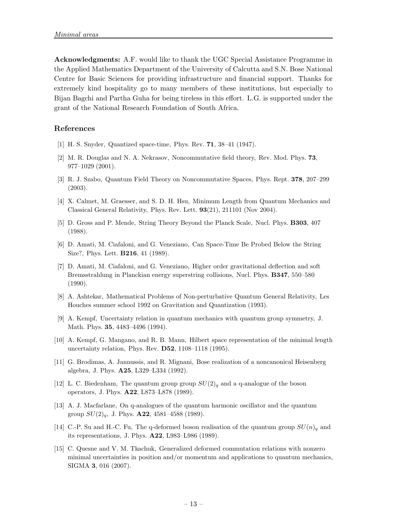<span id="page-13-0"></span>Acknowledgments: A.F. would like to thank the UGC Special Assistance Programme in the Applied Mathematics Department of the University of Calcutta and S.N. Bose National Centre for Basic Sciences for providing infrastructure and financial support. Thanks for extremely kind hospitality go to many members of these institutions, but especially to Bijan Bagchi and Partha Guha for being tireless in this effort. L.G. is supported under the grant of the National Research Foundation of South Africa.

### References

- [1] H. S. Snyder, Quantized space-time, Phys. Rev. 71, 38–41 (1947).
- [2] M. R. Douglas and N. A. Nekrasov, Noncommutative field theory, Rev. Mod. Phys. 73, 977–1029 (2001).
- [3] R. J. Szabo, Quantum Field Theory on Noncommutative Spaces, Phys. Rept. 378, 207–299 (2003).
- [4] X. Calmet, M. Graesser, and S. D. H. Hsu, Minimum Length from Quantum Mechanics and Classical General Relativity, Phys. Rev. Lett. 93(21), 211101 (Nov 2004).
- [5] D. Gross and P. Mende, String Theory Beyond the Planck Scale, Nucl. Phys. B303, 407 (1988).
- [6] D. Amati, M. Ciafaloni, and G. Veneziano, Can Space-Time Be Probed Below the String Size?, Phys. Lett. B216, 41 (1989).
- [7] D. Amati, M. Ciafaloni, and G. Veneziano, Higher order gravitational deflection and soft Bremsstrahlung in Planckian energy superstring collisions, Nucl. Phys. B347, 550–580 (1990).
- [8] A. Ashtekar, Mathematical Problems of Non-perturbative Quantum General Relativity, Les Houches summer school 1992 on Gravitation and Quantization (1993).
- [9] A. Kempf, Uncertainty relation in quantum mechanics with quantum group symmetry, J. Math. Phys. 35, 4483–4496 (1994).
- [10] A. Kempf, G. Mangano, and R. B. Mann, Hilbert space representation of the minimal length uncertainty relation, Phys. Rev. D52, 1108–1118 (1995).
- [11] G. Brodimas, A. Jannussis, and R. Mignani, Bose realization of a noncanonical Heisenberg algebra, J. Phys. A25, L329–L334 (1992).
- [12] L. C. Biedenham, The quantum group group  $SU(2)_q$  and a q-analogue of the boson operators, J. Phys. A22, L873–L878 (1989).
- [13] A. J. Macfarlane, On q-analogues of the quantum harmonic oscillator and the quantum group  $SU(2)_q$ , J. Phys. **A22**, 4581-4588 (1989).
- [14] C.-P. Su and H.-C. Fu, The q-deformed boson realisation of the quantum group  $SU(n)<sub>q</sub>$  and its representations, J. Phys. A22, L983–L986 (1989).
- [15] C. Quesne and V. M. Tkachuk, Generalized deformed commutation relations with nonzero minimal uncertainties in position and/or momentum and applications to quantum mechanics, SIGMA 3, 016 (2007).